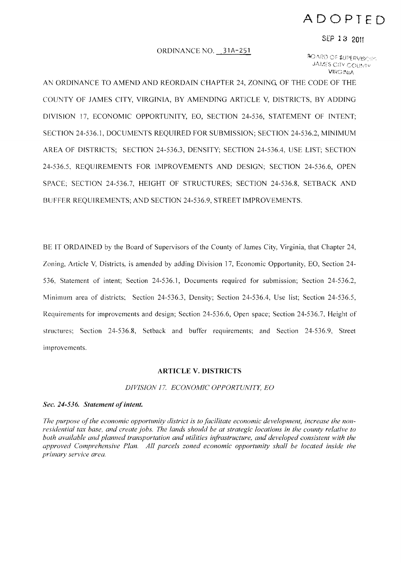# **ADOPTED**

#### SEP 13 2011

#### ORDINANCE NO. 31A-251

~O,\i?[) C~ t.UPf RV!S«,", JAMES CITY COUNTY **VIRGINIA** 

AN ORDINANCE TO AMEND AND REORDAIN CHAPTER 24, ZONING, OF THE CODE OF THE COUNTY OF JAMES CITY, VIRGINIA, BY AMENDING ARTICLE V, DISTRICTS, BY ADDING DIVISION 17, ECONOMIC OPPORTUNITY, EO, SECTION 24-536, STATEMENT OF INTENT; SECTION 24-536.1, DOCUMENTS REQUIRED FOR SUBMISSION; SECTION 24-536.2, MINIMUM AREA OF DISTRICTS; SECTION 24-536.3, DENSITY; SECTION 24-536.4, USE LIST; SECTION 24-536.5, REQUIREMENTS FOR IMPROVEMENTS AND DESIGN; SECTION 24-536.6, OPEN SPACE; SECTION 24-536.7, HEIGHT OF STRUCTURES; SECTION 24-536.8, SETBACK AND BUFFER REQUIREMENTS; AND SECTION 24-536.9, STREET IMPROVEMENTS.

BE IT ORDAINED by the Board of Supervisors of the County of James City, Virginia, that Chapter 24, Zoning, Article V, Districts, is amended by adding Division 17, Economic Opportunity, EO, Section 24 536, Statement of intent; Section 24-536.1, Documents required for submission; Section 24-536.2, Minimum area of districts; Section 24-536.3, Density; Section 24-536.4, Use list; Section 24-536.5, Requirements for improvements and design; Section 24-536.6, Open space; Section 24-536.7, Height of structures; Section 24-536.8, Setback and buffer requirements; and Section 24-536.9, Street improvements.

#### **ARTICLE V. DISTRICTS**

#### *DIVISION* 17. *ECONOMIC OPPORTUNITY, EO*

#### *Sec. 24-536. Statement of intent.*

The purpose of the economic opportunity district is to facilitate economic development, increase the non*residential tax base, and create jobs. The lands should be at strategic locations in the county relative to both available and planned transportation and utilities infrastructure, and developed consistent with the approved Comprehensive Plan. All parcels zoned economic opportunity shall be located inside the primary service area.*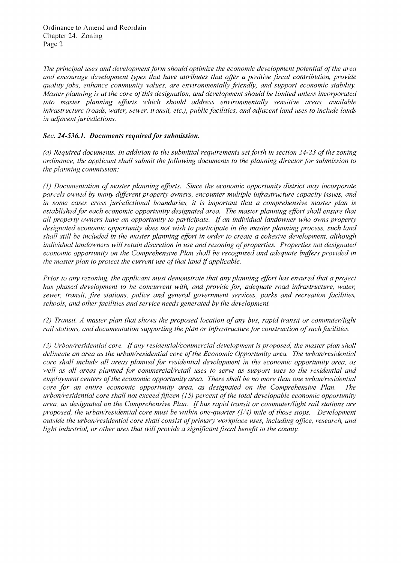*The principal uses and development form should optimize the economic development potential ofthe area and encourage development types that have attributes that offer a positive fiscal contribution, provide quality jobs, enhance community values, are environmentally friendly, and support economic stability. lafter planning is at the core of this designation, and development should be limited unless incorporated* into master planning efforts which should address environmentally sensitive areas, available *infrastructure (roads, water, sewer, transit, etc.), public facilities, and adjacent land uses to include lands ;'1 adjacent jurisdictions.* 

# *Sec.* **24-536.1.** *Documents required/or submission.*

*(a) Required documents. In addition to the submittal requirements setforth in section* 24-23 *ofthe zoning ordinance, the applicant shall submit the following documents to the planning director for submission to the planning commission:* 

*(1) Documentation ofmaster planning efforts. Since the economic opportunity district may incorporate parcels owned by many different property awners, encounter multiple infrastructure capacity issues, and in some cases cross jurisdictional boundaries, it is important that a comprehensive master plan is* established for each economic opportunity designated area. The master planning effort shall ensure that *all property owners have an opportunity to participate.* If *an individual landowner who mvns property designated economic opportunity does not wish to participate in the master planning process, such land shall sti11 be included in the master planning effort in order to create a cohesive development, although individual landowners will retain discretion in use and rezoning of properties. Properties not designated economic opportunity on the Comprehensive Plan shall be recognized and adequate buffers provided in the master plan to protect the current use of that land if applicable.* 

*Prior to any rezoning, the applicant must demonstrate that any planning effort has ensured that a project has phased development to be concurrent with, and provide for, adequate road infrastructure, water,*  sewer, transit, fire stations, police and general government services, parks and recreation facilities, *schools, and other facilities and service needs generated by the development.* 

*(2) Transit. A master plan that shows the proposed location of any bus, rapid transit or commuter/light rail stations, and documentation supporting the plan or infrastructure for construction ofsuch facilities.* 

*(3) Urban/residential core.* If*any residentiallcommercial development is proposed, the master plan shall delineate an area as the urban/residential core of the Economic Opportunity area. The urban/residential core shall include all areas planned for residential development in the economic opportunity area, as*  well as all areas planned for commercial/retail uses to serve as support uses to the residential and *employment centers ofthe economic opportunity area. There shall be no more than one urban/residential core for an entire economic opportunity area, as designated on the Comprehensive Plan. The urban/residential core shall not exceed fifteen* (15) *percent ofthe total developable economic opportunity area. as designated on the Comprehensive Plan.* If *bus rapid transit or commuter/light rail stations are proposed, the urban/residential core must be within one-quarter (1/4) mile of those stops. Development outside the urban/residential core shall consist ofprimary workplace uses, including office. research, and light industrial, or other uses that will provide a significant fiscal benefit to the county.*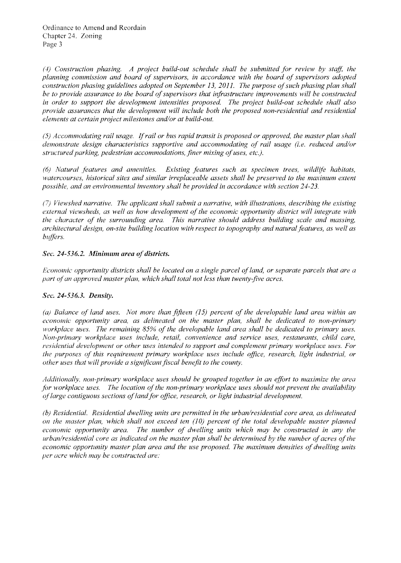(4) Construction phasing. A project build-out schedule shall be submitted for review by staff, the *planning commission and board of supervisors, in accordance with the board of supervisors adopted construction phasing guidelines adopted on September* 13, *2011. The purpose ofsuch phasing plan shall be to provide assurance to the board ofsupervisors that infrastructure improvements will be constructed*  in order to support the development intensities proposed. The project build-out schedule shall also *provide assurances that the development will include both the proposed non-residential and residential elements at certain project milestones and/or at build-out.* 

*(5) Accommodating rail usage. Ijrail or bus rapid transit is proposed or approved, the master plan shall demonstrate design characteristics supportive and accommodating of rail usage (i.e. reduced and/or structured parking, pedestrian accommodations, finer mixing of uses, etc.).* 

*(6) Natural features and amenities. Existing features such as specimen trees, wildlffe habitats, watercourses, historical sites and similar irreplaceable assets shall be preserved to the maximum extent possible, and an environmental inventory shall be provided in accordance with section 24-23.* 

*Viewshed narrative. The applicant shall submit a narrative, with illustrations, describing the existing external viewsheds, as well as how development of the economic opportunity district will integrate with the character of the surrounding area. This narrative should address building scale and massing. architectural design, on-site building location with respect to topography and natural features, as well as bzifJers.* 

# *Sec. 24-536.2. Minimum area of districts.*

*Economic opportunity districts shall be located on a single parcel of land, or separate parcels that are a part of an approved master plan, which shall total not less than twenty-five acres.* 

### *Sec.* 24-536.3. *Density.*

*(a) Balance of land uses. Not more than fifteen* (15) *percent of the developable land area within an economic opportunity area, as delineated on the master plan, shall be dedicated to non-primary workplace uses. The remaining* 85% *of the developable land area shall be dedicated to primary uses, Non-primary workplace uses include, retail, convenience and service uses, restaurants, child care, residential development or other uses intended to support and complement primary workplace uses. For the purposes of this requirement primary workplace uses include office, research, light industrial, or other uses that will provide a significant fiscal benefit to the county.* 

Additionally, non-primary workplace uses should be grouped together in an effort to maximize the area *for workplace uses. The location of the non-primary workplace uses should not prevent the availability oflarge contiguous sections oflandfor office, research, or light industrial development.* 

*(b) Residential. Residential dwelling units are permitted in the urban/residential core area, as delineated on the master plan, which shall not exceed ten (10) percent of the total developable master planned economic opportunity area. The number of dwelling units which may be constructed in any the urban/residential core as indicated on the master plan shall be determined by the number of acres of the economic opportunity master plan area and the use proposed. The maximum densities of dwelling units per acre which may be constructed are:*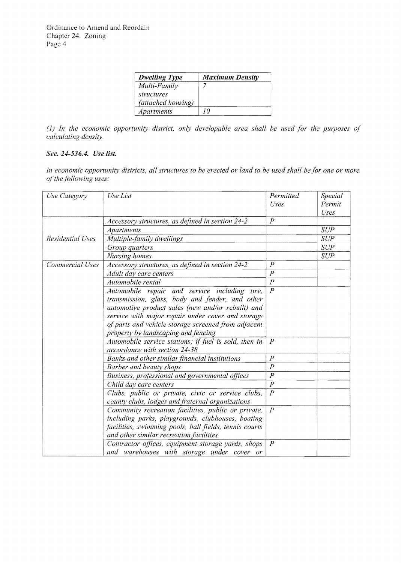| <b>Dwelling Type</b> | <b>Maximum Density</b> |
|----------------------|------------------------|
| Multi-Family         |                        |
| structures           |                        |
| (attached housing)   |                        |
| Apartments           | חי                     |

*(I) In the economic opportunity district, only developable area shall be used for the purposes of calculating density.* 

# *Sec.* 24-536.4. *Use list.*

*In economic opportunity districts, all structures to be erected or land to be used shall be for one or more ofthe following uses:* 

| Use Category     | Use List                                                                               | Permitted<br>Uses | Special<br>Permit<br>Uses |
|------------------|----------------------------------------------------------------------------------------|-------------------|---------------------------|
|                  | Accessory structures, as defined in section 24-2                                       | $\overline{P}$    |                           |
|                  | <b>Apartments</b>                                                                      |                   | <b>SUP</b>                |
| Residential Uses | Multiple-family dwellings                                                              |                   | <b>SUP</b>                |
|                  | Group quarters                                                                         |                   | <b>SUP</b>                |
|                  | Nursing homes                                                                          |                   | <b>SUP</b>                |
| Commercial Uses  | Accessory structures, as defined in section 24-2                                       | $\boldsymbol{p}$  |                           |
|                  | Adult day care centers                                                                 | $\overline{P}$    |                           |
|                  | Automobile rental                                                                      | $\overline{P}$    |                           |
|                  | Automobile repair and service including tire,                                          | $\overline{P}$    |                           |
|                  | transmission, glass, body and fender, and other                                        |                   |                           |
|                  | automotive product sales (new and/or rebuilt) and                                      |                   |                           |
|                  | service with major repair under cover and storage                                      |                   |                           |
|                  | of parts and vehicle storage screened from adjacent                                    |                   |                           |
|                  | property by landscaping and fencing                                                    | $\overline{P}$    |                           |
|                  | Automobile service stations; if fuel is sold, then in<br>accordance with section 24-38 |                   |                           |
|                  | Banks and other similar financial institutions                                         | $\boldsymbol{P}$  |                           |
|                  | Barber and beauty shops                                                                | $\boldsymbol{P}$  |                           |
|                  | Business, professional and governmental offices                                        | $\boldsymbol{P}$  |                           |
|                  | Child day care centers                                                                 | $\overline{P}$    |                           |
|                  | Clubs, public or private, civic or service clubs,                                      | $\boldsymbol{P}$  |                           |
|                  | county clubs, lodges and fraternal organizations                                       |                   |                           |
|                  | Community recreation facilities, public or private,                                    | $\overline{P}$    |                           |
|                  | including parks, playgrounds, clubhouses, boating                                      |                   |                           |
|                  | facilities, swimming pools, ball fields, tennis courts                                 |                   |                           |
|                  | and other similar recreation facilities                                                |                   |                           |
|                  | Contractor offices, equipment storage yards, shops                                     | $\overline{P}$    |                           |
|                  | and warehouses with storage under cover or                                             |                   |                           |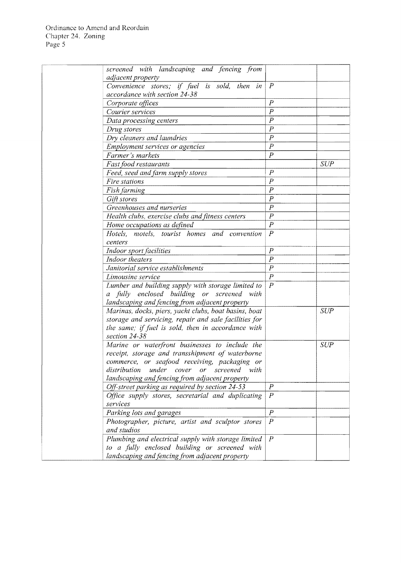| screened with landscaping and fencing from            |                  |            |
|-------------------------------------------------------|------------------|------------|
| adjacent property                                     |                  |            |
| Convenience stores; if fuel is sold, then in          | $\overline{P}$   |            |
| accordance with section 24-38                         |                  |            |
| Corporate offices                                     | $\overline{P}$   |            |
| Courier services                                      | $\overline{P}$   |            |
| Data processing centers                               | $\overline{P}$   |            |
| Drug stores                                           | $\overline{P}$   |            |
| Dry cleaners and laundries                            | $\overline{P}$   |            |
| Employment services or agencies                       | $\boldsymbol{P}$ |            |
| Farmer's markets                                      | $\overline{P}$   |            |
| Fast food restaurants                                 |                  | SUP        |
| Feed, seed and farm supply stores                     | $\boldsymbol{P}$ |            |
| Fire stations                                         | $\overline{P}$   |            |
| Fish farming                                          | $\boldsymbol{P}$ |            |
| Gift stores                                           | $\boldsymbol{P}$ |            |
| Greenhouses and nurseries                             | $\overline{P}$   |            |
| Health clubs, exercise clubs and fitness centers      | $\overline{P}$   |            |
| Home occupations as defined                           | $\overline{P}$   |            |
| Hotels, motels, tourist homes and convention          | $\overline{P}$   |            |
| centers                                               |                  |            |
| Indoor sport facilities                               | $\boldsymbol{P}$ |            |
| Indoor theaters                                       | $\overline{P}$   |            |
| Janitorial service establishments                     | $\overline{P}$   |            |
| Limousine service                                     | $\overline{P}$   |            |
| Lumber and building supply with storage limited to    | $\overline{P}$   |            |
| a fully enclosed building or screened with            |                  |            |
| landscaping and fencing from adjacent property        |                  |            |
| Marinas, docks, piers, yacht clubs, boat basins, boat |                  | <b>SUP</b> |
| storage and servicing, repair and sale facilities for |                  |            |
| the same; if fuel is sold, then in accordance with    |                  |            |
| section 24-38                                         |                  |            |
| Marine or waterfront businesses to include the        |                  | <b>SUP</b> |
| receipt, storage and transshipment of waterborne      |                  |            |
| commerce, or seafood receiving, packaging or          |                  |            |
| under<br>distribution<br>cover<br>screened with<br>or |                  |            |
| landscaping and fencing from adjacent property        |                  |            |
| Off-street parking as required by section 24-53       | $\boldsymbol{P}$ |            |
| Office supply stores, secretarial and duplicating     | $\overline{P}$   |            |
| services                                              |                  |            |
| Parking lots and garages                              | $\overline{P}$   |            |
| Photographer, picture, artist and sculptor stores     | $\overline{P}$   |            |
| and studios                                           |                  |            |
| Plumbing and electrical supply with storage limited   | $\boldsymbol{P}$ |            |
| to a fully enclosed building or screened with         |                  |            |
| landscaping and fencing from adjacent property        |                  |            |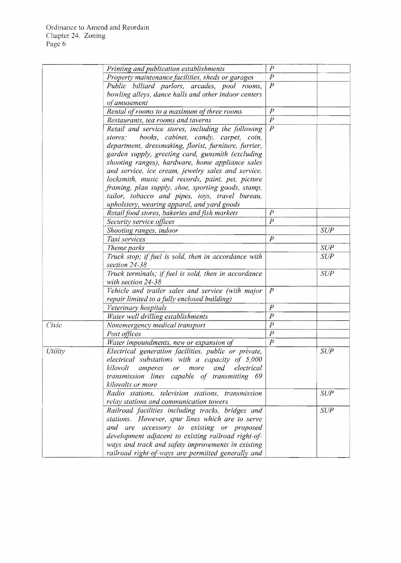|         | Printing and publication establishments                                                                 | $\overline{P}$                       |            |
|---------|---------------------------------------------------------------------------------------------------------|--------------------------------------|------------|
|         | Property maintenance facilities, sheds or garages                                                       | $\boldsymbol{P}$                     |            |
|         | Public billiard parlors, arcades, pool rooms,                                                           | $\overline{P}$                       |            |
|         | bowling alleys, dance halls and other indoor centers                                                    |                                      |            |
|         | of amusement                                                                                            |                                      |            |
|         | Rental of rooms to a maximum of three rooms                                                             | $\boldsymbol{P}$                     |            |
|         | Restaurants, tea rooms and taverns                                                                      | $\boldsymbol{P}$                     |            |
|         | Retail and service stores, including the following                                                      | $\overline{P}$                       |            |
|         | books, cabinet, candy, carpet, coin,<br>stores:                                                         |                                      |            |
|         | department, dressmaking, florist, furniture, furrier,                                                   |                                      |            |
|         | garden supply, greeting card, gunsmith (excluding                                                       |                                      |            |
|         | shooting ranges), hardware, home appliance sales                                                        |                                      |            |
|         | and service, ice cream, jewelry sales and service,                                                      |                                      |            |
|         | locksmith, music and records, paint, pet, picture                                                       |                                      |            |
|         | framing, plan supply, shoe, sporting goods, stamp,                                                      |                                      |            |
|         | tailor, tobacco and pipes, toys, travel bureau,                                                         |                                      |            |
|         | upholstery, wearing apparel, and yard goods                                                             |                                      |            |
|         | Retail food stores, bakeries and fish markets                                                           | $\overline{P}$                       |            |
|         | Security service offices                                                                                | $\overline{P}$                       |            |
|         | Shooting ranges, indoor                                                                                 |                                      | <b>SUP</b> |
|         | Taxi services                                                                                           | $\overline{P}$                       |            |
|         | Theme parks                                                                                             |                                      | <b>SUP</b> |
|         | Truck stop; if fuel is sold, then in accordance with<br>section 24-38                                   |                                      | <b>SUP</b> |
|         | Truck terminals; if fuel is sold, then in accordance                                                    |                                      | <b>SUP</b> |
|         | with section 24-38                                                                                      |                                      |            |
|         | Vehicle and trailer sales and service (with major                                                       | $\overline{P}$                       |            |
|         | repair limited to a fully enclosed building)                                                            | $\boldsymbol{P}$                     |            |
|         | Veterinary hospitals                                                                                    |                                      |            |
|         | Water well drilling establishments                                                                      | $\boldsymbol{P}$<br>$\boldsymbol{P}$ |            |
| Civic   | Nonemergency medical transport                                                                          | $\overline{P}$                       |            |
|         | Post offices                                                                                            | $\overline{P}$                       |            |
|         | Water impoundments, new or expansion of                                                                 |                                      | <b>SUP</b> |
| Utility | Electrical generation facilities, public or private,<br>electrical substations with a capacity of 5,000 |                                      |            |
|         | kilovolt<br>and electrical<br>amperes or<br>more                                                        |                                      |            |
|         | transmission lines capable of transmitting 69                                                           |                                      |            |
|         | kilovolts or more                                                                                       |                                      |            |
|         | Radio stations, television stations, transmission                                                       |                                      | <b>SUP</b> |
|         | relay stations and communication towers                                                                 |                                      |            |
|         | Railroad facilities including tracks, bridges and                                                       |                                      | SUP        |
|         | stations. However, spur lines which are to serve                                                        |                                      |            |
|         | and are accessory to existing or proposed                                                               |                                      |            |
|         | development adjacent to existing railroad right-of-                                                     |                                      |            |
|         | ways and track and safety improvements in existing                                                      |                                      |            |
|         | railroad right-of-ways are permitted generally and                                                      |                                      |            |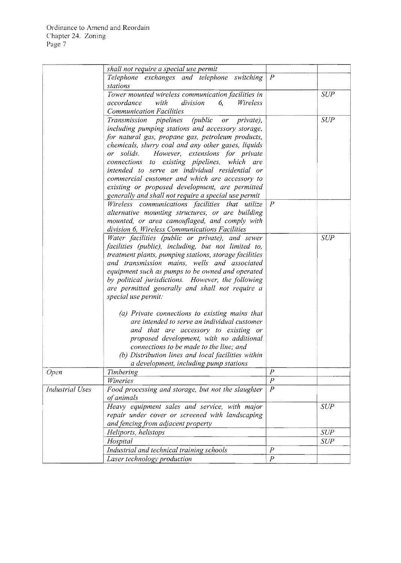|                        | shall not require a special use permit                  |                  |            |
|------------------------|---------------------------------------------------------|------------------|------------|
|                        | Telephone exchanges and telephone switching             | $\overline{P}$   |            |
|                        | stations                                                |                  |            |
|                        | Tower mounted wireless communication facilities in      |                  | <b>SUP</b> |
|                        | accordance<br>with<br><i>division</i><br>Wireless<br>6. |                  |            |
|                        | <b>Communication Facilities</b>                         |                  |            |
|                        |                                                         |                  |            |
|                        | Transmission pipelines (public or<br>private),          |                  | <b>SUP</b> |
|                        | including pumping stations and accessory storage,       |                  |            |
|                        | for natural gas, propane gas, petroleum products,       |                  |            |
|                        | chemicals, slurry coal and any other gases, liquids     |                  |            |
|                        | or solids. However, extensions for private              |                  |            |
|                        | connections to existing pipelines, which are            |                  |            |
|                        | intended to serve an individual residential or          |                  |            |
|                        | commercial customer and which are accessory to          |                  |            |
|                        | existing or proposed development, are permitted         |                  |            |
|                        | generally and shall not require a special use permit    |                  |            |
|                        | Wireless communications facilities that utilize         | $\boldsymbol{P}$ |            |
|                        | alternative mounting structures, or are building        |                  |            |
|                        | mounted, or area camouflaged, and comply with           |                  |            |
|                        | division 6, Wireless Communications Facilities          |                  |            |
|                        | Water facilities (public or private), and sewer         |                  | <b>SUP</b> |
|                        | facilities (public), including, but not limited to,     |                  |            |
|                        | treatment plants, pumping stations, storage facilities  |                  |            |
|                        | and transmission mains, wells and associated            |                  |            |
|                        | equipment such as pumps to be owned and operated        |                  |            |
|                        | by political jurisdictions. However, the following      |                  |            |
|                        | are permitted generally and shall not require a         |                  |            |
|                        | special use permit:                                     |                  |            |
|                        |                                                         |                  |            |
|                        | (a) Private connections to existing mains that          |                  |            |
|                        | are intended to serve an individual customer            |                  |            |
|                        | and that are accessory to existing or                   |                  |            |
|                        | proposed development, with no additional                |                  |            |
|                        | connections to be made to the line; and                 |                  |            |
|                        | (b) Distribution lines and local facilities within      |                  |            |
|                        | a development, including pump stations                  |                  |            |
| <b>Open</b>            | Timbering                                               | $\boldsymbol{P}$ |            |
|                        | Wineries                                                | $\overline{P}$   |            |
| <b>Industrial Uses</b> | Food processing and storage, but not the slaughter      | $\overline{P}$   |            |
|                        | of animals                                              |                  |            |
|                        | Heavy equipment sales and service, with major           |                  | SUP        |
|                        |                                                         |                  |            |
|                        | repair under cover or screened with landscaping         |                  |            |
|                        | and fencing from adjacent property                      |                  |            |
|                        | Heliports, helistops                                    |                  | <b>SUP</b> |
|                        | Hospital                                                |                  | <b>SUP</b> |
|                        | Industrial and technical training schools               | $\overline{P}$   |            |
|                        | Laser technology production                             | $\boldsymbol{P}$ |            |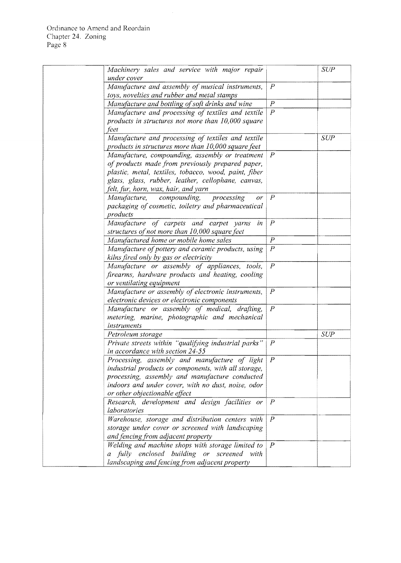| Machinery sales and service with major repair         |                  | <b>SUP</b> |
|-------------------------------------------------------|------------------|------------|
| under cover                                           |                  |            |
| Manufacture and assembly of musical instruments,      | $\overline{P}$   |            |
| toys, novelties and rubber and metal stamps           |                  |            |
| Manufacture and bottling of soft drinks and wine      | $\overline{P}$   |            |
| Manufacture and processing of textiles and textile    | $\overline{P}$   |            |
| products in structures not more than $10,000$ square  |                  |            |
| feet                                                  |                  |            |
| Manufacture and processing of textiles and textile    |                  | SUP        |
| products in structures more than $10,000$ square feet |                  |            |
| Manufacture, compounding, assembly or treatment       | $\overline{P}$   |            |
| of products made from previously prepared paper,      |                  |            |
| plastic, metal, textiles, tobacco, wood, paint, fiber |                  |            |
| glass, glass, rubber, leather, cellophane, canvas,    |                  |            |
| felt, fur, horn, wax, hair, and yarn                  |                  |            |
| compounding,<br>Manufacture,<br>processing<br>or      | $\overline{P}$   |            |
| packaging of cosmetic, toiletry and pharmaceutical    |                  |            |
| products                                              |                  |            |
| Manufacture of carpets and carpet yarns<br>in         | $\overline{P}$   |            |
| structures of not more than 10,000 square feet        |                  |            |
| Manufactured home or mobile home sales                | $\boldsymbol{P}$ |            |
| Manufacture of pottery and ceramic products, using    | $\overline{P}$   |            |
| kilns fired only by gas or electricity                |                  |            |
| Manufacture or assembly of appliances, tools,         | $\overline{P}$   |            |
| firearms, hardware products and heating, cooling      |                  |            |
| or ventilating equipment                              |                  |            |
| Manufacture or assembly of electronic instruments,    | $\overline{P}$   |            |
| electronic devices or electronic components           |                  |            |
| Manufacture or assembly of medical, drafting,         | $\boldsymbol{P}$ |            |
| metering, marine, photographic and mechanical         |                  |            |
| instruments                                           |                  |            |
| Petroleum storage                                     |                  | <b>SUP</b> |
| Private streets within "qualifying industrial parks"  | $\boldsymbol{P}$ |            |
| in accordance with section 24-55                      |                  |            |
| Processing, assembly and manufacture of light         | $\boldsymbol{P}$ |            |
| industrial products or components, with all storage,  |                  |            |
| processing, assembly and manufacture conducted        |                  |            |
| indoors and under cover, with no dust, noise, odor    |                  |            |
| or other objectionable effect                         |                  |            |
| Research, development and design facilities or        | $\overline{P}$   |            |
| laboratories                                          |                  |            |
| Warehouse, storage and distribution centers with      | $\overline{P}$   |            |
| storage under cover or screened with landscaping      |                  |            |
| and fencing from adjacent property                    |                  |            |
| Welding and machine shops with storage limited to     | $\boldsymbol{P}$ |            |
| a fully enclosed building or screened with            |                  |            |
| landscaping and fencing from adjacent property        |                  |            |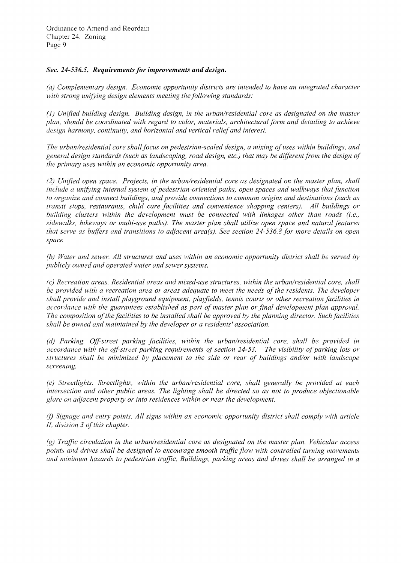### *Sec. 24-536.5. Requirements for improvements and design.*

*(a) Complementary design. Economic opportunity districts are intended to have an integrated character* with strong unifying design elements meeting the following standards:

*(1) Unified building design. Building design, in the urban/residential core as designated on the master plan, should be coordinated with regard to color, materials, architectural form and detailing to achieve design harmony, continuity, and horizontal and vertical relief and interest.* 

*The urban/residential core shall focus on pedestrian-scaled design, a mixing ofuses within buildings, and general design standards (such as landscaping, road design, etc.) that may be different from the desigll of the primary uses within an economic opportunity area.* 

*(2) Uilified open space. Projects, in the urban/residential core as designated on the master plan, shall include a unifying internal system of pedestrian-oriented paths, open spaces and walkways that function to organize and connect buildings, and provide connections to common origins and destinations (such as transit stops, restaurants, child care facilities and convenience shopping centers). All buildings or building clusters within the development must be connected with linkages other than roads (i.e., sidewallw', bikeways or multi-use paths). The master plan shall utilize open space and natural features that serve as buffers and transitions to adjacent area(s). See section 24-536.8 for more details on open space.* 

*(b) Water and sewer. All structures and uses within an economic opportunity district shall be served by publicly owned and operated water and sewer systems.* 

*(c) Recreation areas. Residential areas and mixed-use structures, within the urbanlresidential core, shall be provided with a recreation area or areas adequate to meet the needs of the residents. The developer shall provide and install playground equipment, play fields, tennis courts or other recreation facilities in accordance with the guarantees established as part of master plan or final development plan approval. The composition ofthe facilities to be installed shall be approved by the planning director. 5'uch facilities shall be owned and maintained by the developer or a residents' association.* 

*(d) Parking. Off-street parking facilities, within the urban/residential core, shall be provided in accordance with the ofFstreet parking requirements ofsection* 24-53. *The Visibility ofparking lots or structures shall be minimized by placement to the side or rear of buildings and/or with landscape screening.* 

*(e) Streetlights. Streetlights, within the urban/residential core, shall generally be provided at each intersection and other public areas. The lighting shall be directed so as not to produce objectionable glare on adjacent property or into residences within or near the development.* 

*(I) 5'ignage and ently points. All signs within an economic opportunity district shall comply wirh article II*, division 3 of this chapter.

*(g) Traffic circulation in the urban/residential core as designated on the master plan. Vehicular access points and drives shall be designed to encourage smooth traffle flow with controlled turning movements and minimum hazards to pedestrian traffic. Buildings, parking areas and drives shall be arranged in a*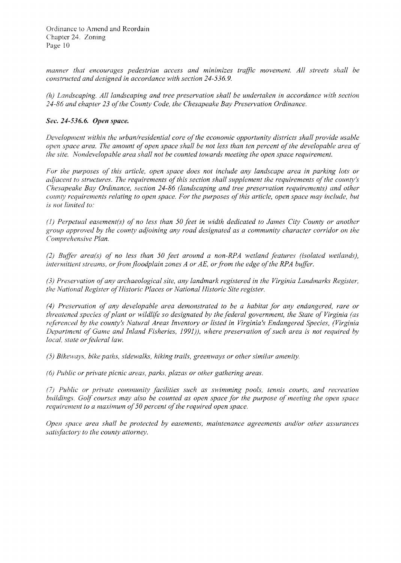manner that encourages pedestrian access and minimizes traffic movement. All streets shall be *constructed and designed in accordance with section 24-536.9.* 

*(h) Landscaping. All landscaping and tree preservation shall be undertaken in accordance with section 24-86 and chapter* 23 *ofthe County Code, the Chesapeake Bay Preservation Ordinance.* 

### *Sec.* 24-536.6. *Open space.*

*Development within the urban/residential core of the economic opportunity districts shall provide usable open space area. The amount of open space shall be not less than ten percent of the developable area of the site. Nondevelopable area shall not be counted towards meeting the open space requirement.* 

*For the purposes of this article, open space does not include any landscape area in parking lots or adjacent to structures. The requirements ofthis section shall supplement the requirements ofthe county's Chesapeake Bay Ordinance, section* 24-86 *(landscaping and tree preservation requirements) and other county requirements relating to open space. For the purposes of this article, open space may include, but is not limited to:* 

(J) *Perpetual easement(s'} of no less than 50 feet in width dedicated to James City County or another group approved by the county adjoining any road designated as a community character corridor on the Comprehensive Plan.* 

(2) *Buffer area(s) of no less than 50 feet around a non-RPA wetland features (isolated wetlands)*, *intermittent streams, or from floodplain zones A or AE, or from the edge of the RPA buffer.* 

*(3) Preservation ofany archaeological site, any landmark registered in the Virginia Landmarks Register, the National Register of Historic Places or National Historic Site register.* 

*(4) Preservation of any developable area demonstrated to be a habitat for any endangered, rare or threatened species of plant or wildlife so designated by the federal government, the State of Virginia (as referenced by the county's Natural Areas Inventory or listed in Virginia's Endangered Species, (Virginia Department of Game and Inland Fisheries, 1991)), where preservation of such area is not required by local, state or federal law.* 

*(5) Bikeways, bike paths, sidewalks, hiking trails, greenways or other similar amenity.* 

(6) *Public or private picnic areas, parks, plazas or other gathering areas.* 

*Public or private community facilities such as swimming pools, tennis courts, and recrearion buildings. Golf courses may also be counted as open space for the purpose of meeting the open jpace requirement to a maximum of 50 percent of the required open space.* 

*Open space area shall be protected by easements, maintenance agreements and/or other assurances satisfactory to the county attorney.*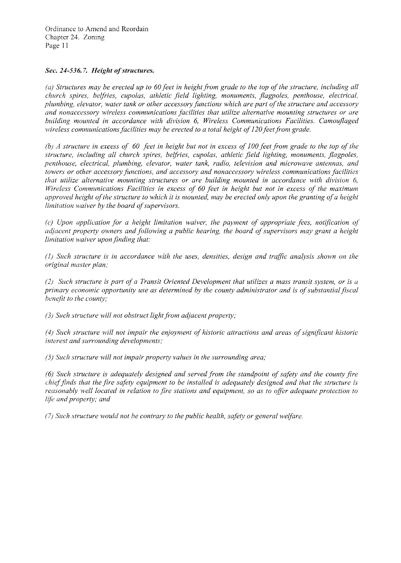# *Sec.* **24-536.7.** *Height ofstructures.*

*(a) Structures may be erected up to* 60 *feet in height from grade to the top of the structure, including all church spires, belfries, cupolas, athletic field lighting, monuments, flagpoles, penthouse, electrical, plumbing, elevator, water tank or other accessory functions which are part ofthe structure and accessory and nonaccessory wireless communications facilities that utilize alternative mounting structures or are building mounted in accordance with division* 6, *Wireless Communications Facilities. Camouflaged wireless communications facilities may be erected to a total height of120 feet from grade.* 

*(b) A structure in excess of* 60 *feet in height but not in excess of 100 feet from grade to the top of the structure, including all church spires, belfries, cupolas, athletic field lighting, monuments, flagpoles, penthouse, electrical, plumbing, elevator, water tank, radio, television and microwave antennas, and towers or other accessory functions, and accessory and nonaccessory wireless communications facilities that utilize alternative mounting structures or are building mounted in accordance with division 6, Wireless Communications Facilities in excess of* 60 *feet in height but not in excess of the maximum approved height ofthe structure to which it is mounted, may be erected only upon the granting ofa height limitation waiver by the board of supervisors.* 

(c) *Upon application for a height limitation waiver, the payment of appropriate fees, notification of adjacent property owners and following a public hearing, the board of supervisors may grant a height limitation waiver upon finding that:* 

*(1) Such structure is in accordance with the uses, densities, design and traffic analysis shown on the original master plan;* 

*(2) Such structure* is *part of a Transit Oriented Development that utilizes a mass transit system, or is a primary economic opportunity use as determined by the county administrator and is of substantial fiscal henefit to the county;* 

*(3) Such structure will not obstruct light from adjacent property;* 

*(4) Such structure will not impair the enjoyment of historic attractions and areas ofsignificant historic interest and surrounding developments;* 

*(5) Such structure will not impair property values in the surrounding area;* 

*(6) Such structure is adequately designed and served from the standpoint of safety and the county fire chieffinds that the fire safety equipment to be installed is adequately designed and that the structure is reasonably well located in relation to fire stations and equipment,* so *as to ofler adequate protection to*  life *and property; and* 

*(7) Such structure would not he contrary to the public health, safety or general welfare.*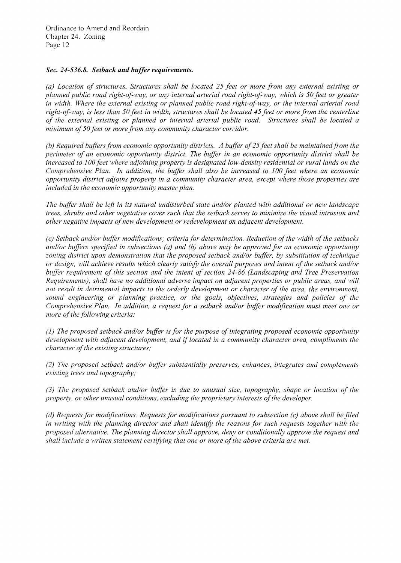#### *Sec.* **24-536.8.** *Setback and buffer requirements.*

*(a) Location of structures. Structures shall be located* 25 *feet or more from any external existing or planned public road right-of-way, or any internal arterial road right-of-way, which is 50 feet or greater in width. Where the external existing or planned public road right-of-way, or the internal arterial road right-ol-way, is less than 50 feet in width, structures shall be located* 45 *feet or more from the centerline of the external existing or planned or internal arterial public road. Structures shall be located a minimum of50 feet or more from any community character corridor.* 

*(b) Required bujlers from economic opportunity districts. A buffer of*25 *feet shall be maintained from the perimeter of an economic opportunity district. The buffer in an economic opportunity district shall be increased to 100 feet where adjoining property is designated low-density residential or rural lands on the Comprehensive Plan. In addition, the buffer shall also be increased to 100 feet where an economic opportunity district adjoins property in a community character area, except where those properties are included in the economic opportunity master plan.* 

*lhe buller shall be leji in its natural undisturbed state and/or planted with additional or new landscape trees, shrubs and other vegetative cover such that the setback serves to minimize the visual intrusion and other negative impacts ofnew development or redevelopment on adjacent development.* 

*(c)* Setback and/or buffer modifications; criteria for determination. Reduction of the width of the setbacks *and/or buffers specified in subsections (a) and (b) above may be approved for an economic opportunity zoning district upon demonstration that the proposed setback and/or buffer, by substitution of technique or design, will achieve results which clearly satisfy the overall purposes and intent of the setback and/or bufler requirement of this section and the intent of section* 24-86 *(Landscaping and Tree Preservation Requirements), shall have no additional adverse impact on adjacent properties or public areas, and will not result in detrimental impacts to the orderly development or character of the area, the environment, sound engineering or planning practice, or the goals, objectives, strategies and policies of the Comprehensive Plan, In addition, a request for a setback and/or buffer modification must meet one or more of the following criteria:* 

(1) The proposed setback and/or buffer is for the purpose of integrating proposed economic opportunity *development with adjacent development, and iflocated in a community character area, compliments the character of the existing structures;* 

(2) The proposed setback and/or buffer substantially preserves, enhances, integrates and complements *existing trees and topography;* 

(3) The proposed setback and/or buffer is due to unusual size, topography, shape or location of the *property, or other unusual conditions, excluding the proprietary interests ofthe developer.* 

*(d) Requests for modifications. Requests for modifications pursuant to subsection (c) above shall be filed in writing with the planning director and shall identify the reasons for such requests together with the proposed alternative. The planning director shall approve, deny or conditionally approve the request and shall include a written statement certifying that one or more of the above criteria are met.*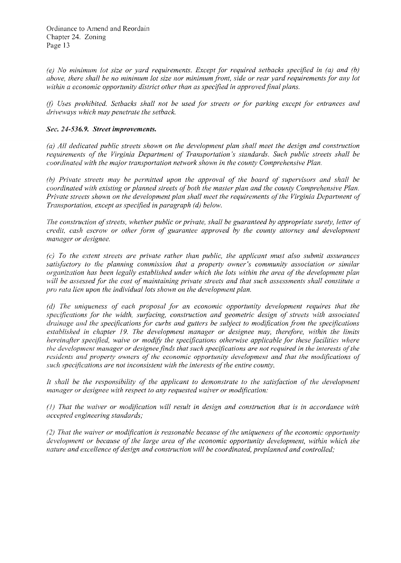*(e) No minimum lot size or yard requirements. Except for required setbacks specified in (a) and (b) above, there shall be no minimum lot size nor minimum front, side or rear yard requirements for any lot within a economic opportunity district other than as specified in approved final plans.* 

(f) *Uses prohibited. Setbacks shall not be used for streets or for parking except for entrances and driveways which may penetrate the setback.* 

#### *Sec.* 24-536.9. *Street improvements.*

*(a) All dedicated public streets shown on the development plan shall meet the design and construction requirements of the Virginia Department of Transportation's standards. Such public streets shall be coordinated with the major transportation network shown in the county Comprehensive Plan.* 

*(b) Private streets may be permitted upon the approval of the board of supervisors and shall be coordinated with existing or planned streets of both the master plan and the county Comprehensive Plan.* Private streets shown on the development plan shall meet the requirements of the Virginia Department of *Transportation, except as specified in paragraph (d) below.* 

*The construction of streets, whether public or private, shall be guaranteed by appropriate surety, letter of credit, cash escrow or other form of guarantee approved by the county attorney and development manager or designee.* 

((~ *To the extent streets are private rather than public, the applicant must also submit assurances satisfactory to the planning commission that a property owner's community association or similar organization has been legally established under which the lots within the area of the development plan will be assessed for the cost of maintaining private streets and that such assessments shall constitute a pro rata lien upon the individual lots shown on the development plan.* 

*(d) The uniqueness of each proposal for an economic opportunity development requires that the*  ~pecifications *for the width, surfacing, construction and geometric design of streets with associated drainage and the specifications for curbs and gutters be subject to modification from the specifications established in chapter* 19. *The development manager or designee may, therefore, within the limits hereinafter specified, waive or modify the specifications otherwise applicable for these facilities where* the development manager or designee finds that such specifications are not required in the interests of the residents and property owners of the economic opportunity development and that the modifications of *such specifications are not inconsistent with the interests of the entire county.* 

*It shall be the responsibility of the applicant to demonstrate to the satisfaction of the development manager or designee with respect to any requested waiver or modification:* 

*(1) That the waiver or modification will result in design and construction that is in accordance with accepted engineering standards;* 

*(2) That the waiver or modification is reasonable because ofthe uniqueness ofthe economic opportunity development or because of the large area of the economic opportunity development, within which the nature and excellence ofdesign and construction will be coordinated, preplanned and controlled;*